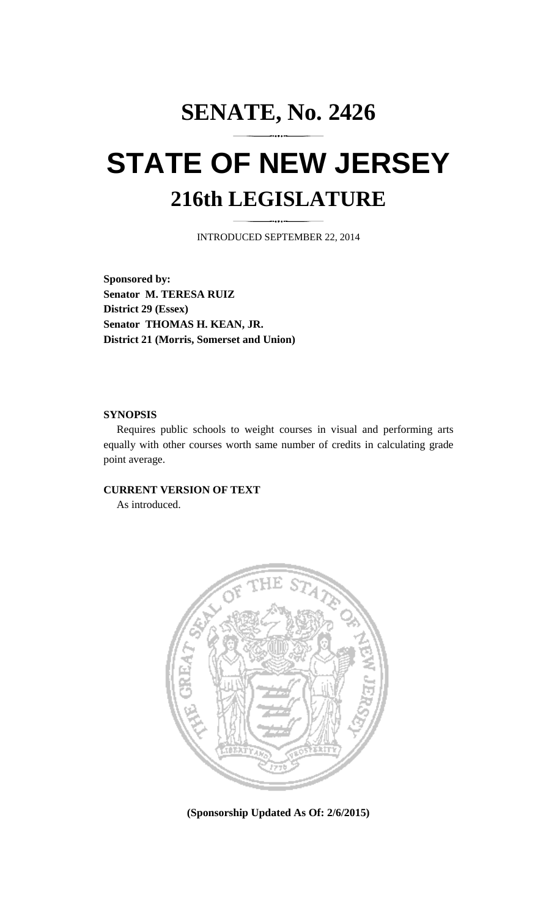## **SENATE, No. 2426 STATE OF NEW JERSEY 216th LEGISLATURE**

INTRODUCED SEPTEMBER 22, 2014

**Sponsored by: Senator M. TERESA RUIZ District 29 (Essex) Senator THOMAS H. KEAN, JR. District 21 (Morris, Somerset and Union)** 

## **SYNOPSIS**

 Requires public schools to weight courses in visual and performing arts equally with other courses worth same number of credits in calculating grade point average.

## **CURRENT VERSION OF TEXT**

As introduced.



**(Sponsorship Updated As Of: 2/6/2015)**